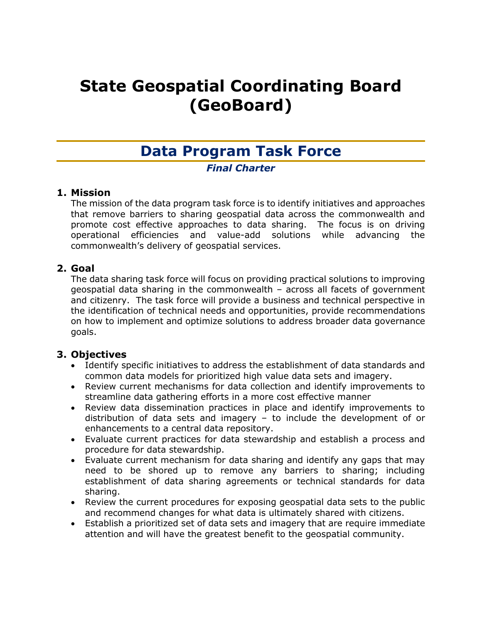# **State Geospatial Coordinating Board (GeoBoard)**

# **Data Program Task Force**

# *Final Charter*

# **1. Mission**

The mission of the data program task force is to identify initiatives and approaches that remove barriers to sharing geospatial data across the commonwealth and promote cost effective approaches to data sharing. The focus is on driving operational efficiencies and value-add solutions while advancing the commonwealth's delivery of geospatial services.

# **2. Goal**

The data sharing task force will focus on providing practical solutions to improving geospatial data sharing in the commonwealth – across all facets of government and citizenry. The task force will provide a business and technical perspective in the identification of technical needs and opportunities, provide recommendations on how to implement and optimize solutions to address broader data governance goals.

# **3. Objectives**

- Identify specific initiatives to address the establishment of data standards and common data models for prioritized high value data sets and imagery.
- Review current mechanisms for data collection and identify improvements to streamline data gathering efforts in a more cost effective manner
- Review data dissemination practices in place and identify improvements to distribution of data sets and imagery – to include the development of or enhancements to a central data repository.
- Evaluate current practices for data stewardship and establish a process and procedure for data stewardship.
- Evaluate current mechanism for data sharing and identify any gaps that may need to be shored up to remove any barriers to sharing; including establishment of data sharing agreements or technical standards for data sharing.
- Review the current procedures for exposing geospatial data sets to the public and recommend changes for what data is ultimately shared with citizens.
- Establish a prioritized set of data sets and imagery that are require immediate attention and will have the greatest benefit to the geospatial community.